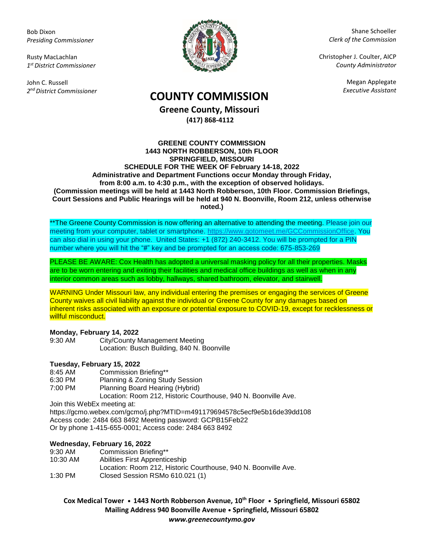Bob Dixon *Presiding Commissioner*

Rusty MacLachlan *1 st District Commissioner*

John C. Russell *2 nd District Commissioner*



Shane Schoeller *Clerk of the Commission*

Christopher J. Coulter, AICP *County Administrator*

Megan Applegate

# *Executive Assistant* **COUNTY COMMISSION**

**Greene County, Missouri (417) 868-4112**

#### **GREENE COUNTY COMMISSION 1443 NORTH ROBBERSON, 10th FLOOR SPRINGFIELD, MISSOURI SCHEDULE FOR THE WEEK OF February 14-18, 2022 Administrative and Department Functions occur Monday through Friday, from 8:00 a.m. to 4:30 p.m., with the exception of observed holidays. (Commission meetings will be held at 1443 North Robberson, 10th Floor. Commission Briefings, Court Sessions and Public Hearings will be held at 940 N. Boonville, Room 212, unless otherwise noted.)**

\*\*The Greene County Commission is now offering an alternative to attending the meeting. Please join our meeting from your computer, tablet or smartphone. [https://www.gotomeet.me/GCCommissionOffice.](https://www.gotomeet.me/GCCommissionOffice) You can also dial in using your phone. United States: +1 (872) 240-3412. You will be prompted for a PIN number where you will hit the "#" key and be prompted for an access code: 675-853-269

PLEASE BE AWARE: Cox Health has adopted a universal masking policy for all their properties. Masks are to be worn entering and exiting their facilities and medical office buildings as well as when in any interior common areas such as lobby, hallways, shared bathroom, elevator, and stairwell.

WARNING Under Missouri law, any individual entering the premises or engaging the services of Greene County waives all civil liability against the individual or Greene County for any damages based on inherent risks associated with an exposure or potential exposure to COVID-19, except for recklessness or willful misconduct.

#### **Monday, February 14, 2022**

9:30 AM City/County Management Meeting Location: Busch Building, 840 N. Boonville

### **Tuesday, February 15, 2022**

- 8:45 AM Commission Briefing\*\*
- 6:30 PM Planning & Zoning Study Session<br>7:00 PM Planning Board Hearing (Hybrid)
- Planning Board Hearing (Hybrid)

Location: Room 212, Historic Courthouse, 940 N. Boonville Ave.

Join this WebEx meeting at:

https://gcmo.webex.com/gcmo/j.php?MTID=m491179694578c5ecf9e5b16de39dd108 Access code: 2484 663 8492 Meeting password: GCPB15Feb22 Or by phone 1-415-655-0001; Access code: 2484 663 8492

### **Wednesday, February 16, 2022**

| Location: Room 212. Historic Courthouse, 940 N. Boonville Ave. |
|----------------------------------------------------------------|
|                                                                |
|                                                                |

**Cox Medical Tower • 1443 North Robberson Avenue, 10th Floor • Springfield, Missouri 65802 Mailing Address 940 Boonville Avenue • Springfield, Missouri 65802** *www.greenecountymo.gov*